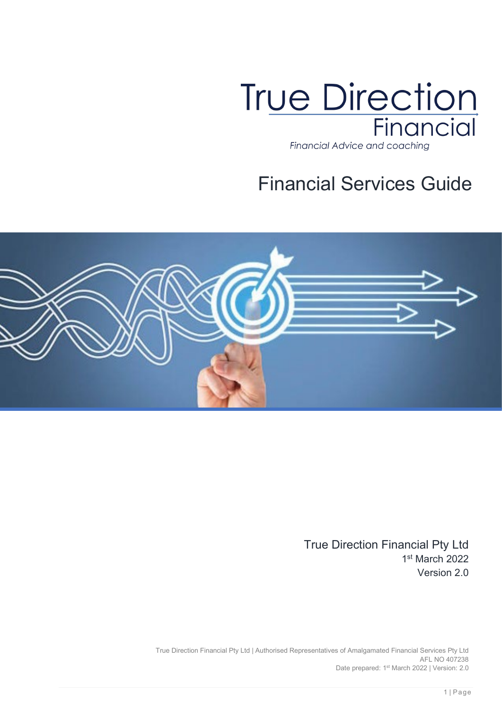

# Financial Services Guide



True Direction Financial Pty Ltd 1st March 2022 Version 2.0

True Direction Financial Pty Ltd | Authorised Representatives of Amalgamated Financial Services Pty Ltd AFL NO 407238 Date prepared: 1<sup>st</sup> March 2022 | Version: 2.0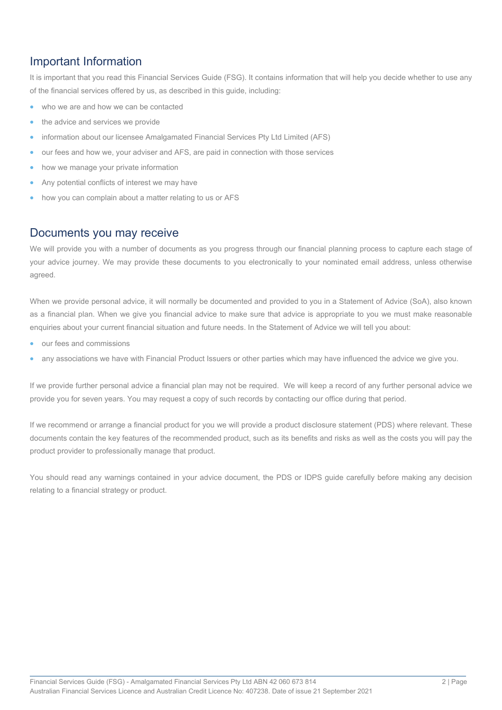# Important Information

It is important that you read this Financial Services Guide (FSG). It contains information that will help you decide whether to use any of the financial services offered by us, as described in this guide, including:

- who we are and how we can be contacted
- the advice and services we provide
- information about our licensee Amalgamated Financial Services Pty Ltd Limited (AFS)
- our fees and how we, your adviser and AFS, are paid in connection with those services
- how we manage your private information
- Any potential conflicts of interest we may have
- how you can complain about a matter relating to us or AFS

# Documents you may receive

We will provide you with a number of documents as you progress through our financial planning process to capture each stage of your advice journey. We may provide these documents to you electronically to your nominated email address, unless otherwise agreed.

When we provide personal advice, it will normally be documented and provided to you in a Statement of Advice (SoA), also known as a financial plan. When we give you financial advice to make sure that advice is appropriate to you we must make reasonable enquiries about your current financial situation and future needs. In the Statement of Advice we will tell you about:

- our fees and commissions
- any associations we have with Financial Product Issuers or other parties which may have influenced the advice we give you.

If we provide further personal advice a financial plan may not be required. We will keep a record of any further personal advice we provide you for seven years. You may request a copy of such records by contacting our office during that period.

If we recommend or arrange a financial product for you we will provide a product disclosure statement (PDS) where relevant. These documents contain the key features of the recommended product, such as its benefits and risks as well as the costs you will pay the product provider to professionally manage that product.

You should read any warnings contained in your advice document, the PDS or IDPS guide carefully before making any decision relating to a financial strategy or product.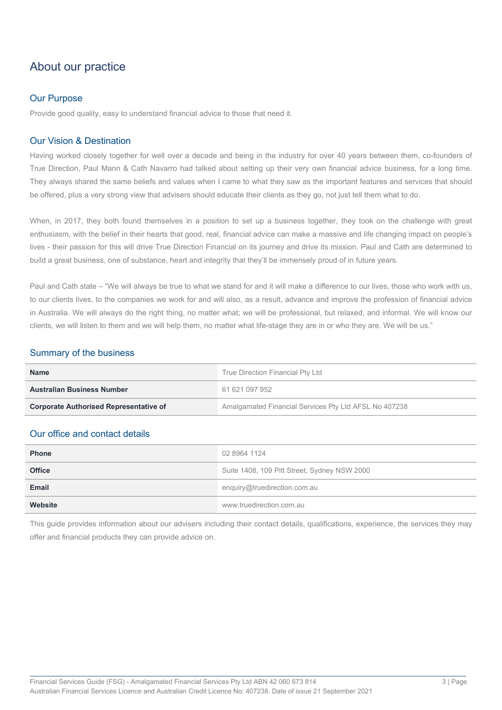# About our practice

### Our Purpose

Provide good quality, easy to understand financial advice to those that need it.

### Our Vision & Destination

Having worked closely together for well over a decade and being in the industry for over 40 years between them, co-founders of True Direction, Paul Mann & Cath Navarro had talked about setting up their very own financial advice business, for a long time. They always shared the same beliefs and values when I came to what they saw as the important features and services that should be offered, plus a very strong view that advisers should educate their clients as they go, not just tell them what to do.

When, in 2017, they both found themselves in a position to set up a business together, they took on the challenge with great enthusiasm, with the belief in their hearts that good, real, financial advice can make a massive and life changing impact on people's lives - their passion for this will drive True Direction Financial on its journey and drive its mission. Paul and Cath are determined to build a great business, one of substance, heart and integrity that they'll be immensely proud of in future years.

Paul and Cath state – "We will always be true to what we stand for and it will make a difference to our lives, those who work with us, to our clients lives, to the companies we work for and will also, as a result, advance and improve the profession of financial advice in Australia. We will always do the right thing, no matter what; we will be professional, but relaxed, and informal. We will know our clients, we will listen to them and we will help them, no matter what life-stage they are in or who they are. We will be us."

### Summary of the business

| <b>Name</b>                                   | True Direction Financial Pty Ltd                      |  |
|-----------------------------------------------|-------------------------------------------------------|--|
| <b>Australian Business Number</b>             | 61 621 097 952                                        |  |
| <b>Corporate Authorised Representative of</b> | Amalgamated Financial Services Pty Ltd AFSL No 407238 |  |

### Our office and contact details

| <b>Phone</b>  | 02 8964 1124                                 |  |
|---------------|----------------------------------------------|--|
| <b>Office</b> | Suite 1408, 109 Pitt Street, Sydney NSW 2000 |  |
| Email         | enquiry@truedirection.com.au                 |  |
| Website       | www.truedirection.com.au                     |  |

This guide provides information about our advisers including their contact details, qualifications, experience, the services they may offer and financial products they can provide advice on.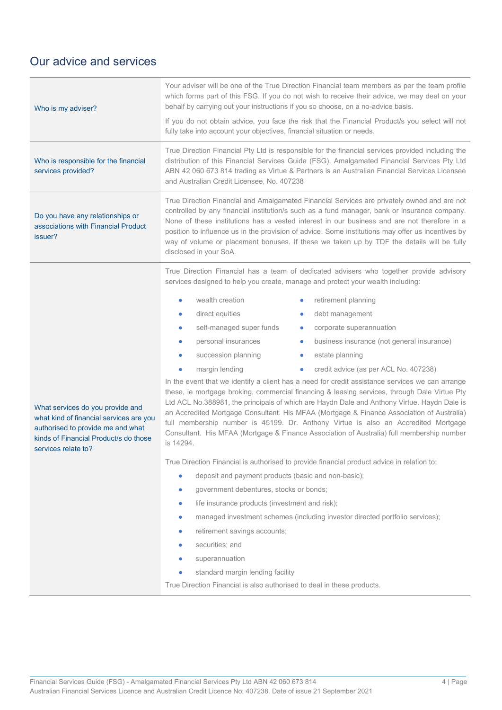# Our advice and services

|                                                                                                                                              | Your adviser will be one of the True Direction Financial team members as per the team profile<br>which forms part of this FSG. If you do not wish to receive their advice, we may deal on your<br>behalf by carrying out your instructions if you so choose, on a no-advice basis.<br>If you do not obtain advice, you face the risk that the Financial Product/s you select will not<br>fully take into account your objectives, financial situation or needs.                                                                                                                                                                                                                                                                                                                                                                                                                                                                                           |  |  |
|----------------------------------------------------------------------------------------------------------------------------------------------|-----------------------------------------------------------------------------------------------------------------------------------------------------------------------------------------------------------------------------------------------------------------------------------------------------------------------------------------------------------------------------------------------------------------------------------------------------------------------------------------------------------------------------------------------------------------------------------------------------------------------------------------------------------------------------------------------------------------------------------------------------------------------------------------------------------------------------------------------------------------------------------------------------------------------------------------------------------|--|--|
| Who is responsible for the financial<br>services provided?                                                                                   | True Direction Financial Pty Ltd is responsible for the financial services provided including the<br>distribution of this Financial Services Guide (FSG). Amalgamated Financial Services Pty Ltd<br>ABN 42 060 673 814 trading as Virtue & Partners is an Australian Financial Services Licensee<br>and Australian Credit Licensee, No. 407238                                                                                                                                                                                                                                                                                                                                                                                                                                                                                                                                                                                                            |  |  |
| Do you have any relationships or<br>associations with Financial Product<br>issuer?                                                           | True Direction Financial and Amalgamated Financial Services are privately owned and are not<br>controlled by any financial institution/s such as a fund manager, bank or insurance company.<br>None of these institutions has a vested interest in our business and are not therefore in a<br>position to influence us in the provision of advice. Some institutions may offer us incentives by<br>way of volume or placement bonuses. If these we taken up by TDF the details will be fully<br>disclosed in your SoA.                                                                                                                                                                                                                                                                                                                                                                                                                                    |  |  |
| What services do you provide and                                                                                                             | True Direction Financial has a team of dedicated advisers who together provide advisory<br>services designed to help you create, manage and protect your wealth including:<br>wealth creation<br>retirement planning<br>$\bullet$<br>direct equities<br>debt management<br>$\bullet$<br>۰<br>self-managed super funds<br>corporate superannuation<br>$\bullet$<br>personal insurances<br>business insurance (not general insurance)<br>۰<br>succession planning<br>estate planning<br>$\bullet$<br>credit advice (as per ACL No. 407238)<br>margin lending<br>In the event that we identify a client has a need for credit assistance services we can arrange<br>these, ie mortgage broking, commercial financing & leasing services, through Dale Virtue Pty<br>Ltd ACL No.388981, the principals of which are Haydn Dale and Anthony Virtue. Haydn Dale is<br>an Accredited Mortgage Consultant. His MFAA (Mortgage & Finance Association of Australia) |  |  |
| what kind of financial services are you<br>authorised to provide me and what<br>kinds of Financial Product/s do those<br>services relate to? | full membership number is 45199. Dr. Anthony Virtue is also an Accredited Mortgage<br>Consultant. His MFAA (Mortgage & Finance Association of Australia) full membership number<br>is 14294.<br>True Direction Financial is authorised to provide financial product advice in relation to:<br>deposit and payment products (basic and non-basic);<br>$\bullet$<br>government debentures, stocks or bonds;<br>life insurance products (investment and risk);<br>$\bullet$<br>managed investment schemes (including investor directed portfolio services);<br>$\bullet$<br>retirement savings accounts;<br>securities; and<br>superannuation<br>standard margin lending facility<br>True Direction Financial is also authorised to deal in these products.                                                                                                                                                                                                  |  |  |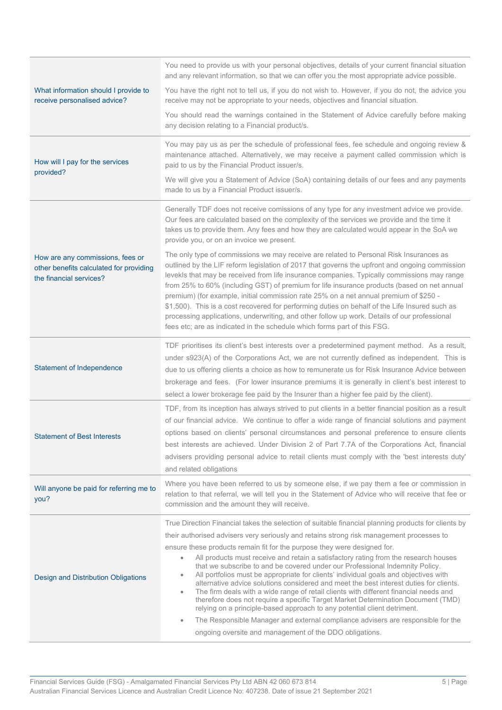|                                                                                                        | You need to provide us with your personal objectives, details of your current financial situation<br>and any relevant information, so that we can offer you the most appropriate advice possible.                                                                                                                                                                                                                                                                                                                                                                                                                                                                                                                                                                                                                                                                                                                                                                                                                                                              |
|--------------------------------------------------------------------------------------------------------|----------------------------------------------------------------------------------------------------------------------------------------------------------------------------------------------------------------------------------------------------------------------------------------------------------------------------------------------------------------------------------------------------------------------------------------------------------------------------------------------------------------------------------------------------------------------------------------------------------------------------------------------------------------------------------------------------------------------------------------------------------------------------------------------------------------------------------------------------------------------------------------------------------------------------------------------------------------------------------------------------------------------------------------------------------------|
| What information should I provide to<br>receive personalised advice?                                   | You have the right not to tell us, if you do not wish to. However, if you do not, the advice you<br>receive may not be appropriate to your needs, objectives and financial situation.                                                                                                                                                                                                                                                                                                                                                                                                                                                                                                                                                                                                                                                                                                                                                                                                                                                                          |
|                                                                                                        | You should read the warnings contained in the Statement of Advice carefully before making<br>any decision relating to a Financial product/s.                                                                                                                                                                                                                                                                                                                                                                                                                                                                                                                                                                                                                                                                                                                                                                                                                                                                                                                   |
| How will I pay for the services                                                                        | You may pay us as per the schedule of professional fees, fee schedule and ongoing review &<br>maintenance attached. Alternatively, we may receive a payment called commission which is<br>paid to us by the Financial Product issuer/s.                                                                                                                                                                                                                                                                                                                                                                                                                                                                                                                                                                                                                                                                                                                                                                                                                        |
| provided?                                                                                              | We will give you a Statement of Advice (SoA) containing details of our fees and any payments<br>made to us by a Financial Product issuer/s.                                                                                                                                                                                                                                                                                                                                                                                                                                                                                                                                                                                                                                                                                                                                                                                                                                                                                                                    |
|                                                                                                        | Generally TDF does not receive comissions of any type for any investment advice we provide.<br>Our fees are calculated based on the complexity of the services we provide and the time it<br>takes us to provide them. Any fees and how they are calculated would appear in the SoA we<br>provide you, or on an invoice we present.                                                                                                                                                                                                                                                                                                                                                                                                                                                                                                                                                                                                                                                                                                                            |
| How are any commissions, fees or<br>other benefits calculated for providing<br>the financial services? | The only type of commissions we may receive are related to Personal Risk Insurances as<br>outlined by the LIF reform legislation of 2017 that governs the upfront and ongoing commission<br>levekls that may be received from life insurance companies. Typically commissions may range<br>from 25% to 60% (including GST) of premium for life insurance products (based on net annual<br>premium) (for example, initial commission rate 25% on a net annual premium of \$250 -<br>\$1,500). This is a cost recovered for performing duties on behalf of the Life Insured such as<br>processing applications, underwriting, and other follow up work. Details of our professional<br>fees etc; are as indicated in the schedule which forms part of this FSG.                                                                                                                                                                                                                                                                                                  |
| <b>Statement of Independence</b>                                                                       | TDF prioritises its client's best interests over a predetermined payment method. As a result,<br>under s923(A) of the Corporations Act, we are not currently defined as independent. This is<br>due to us offering clients a choice as how to remunerate us for Risk Insurance Advice between<br>brokerage and fees. (For lower insurance premiums it is generally in client's best interest to<br>select a lower brokerage fee paid by the Insurer than a higher fee paid by the client).                                                                                                                                                                                                                                                                                                                                                                                                                                                                                                                                                                     |
| <b>Statement of Best Interests</b>                                                                     | TDF, from its inception has always strived to put clients in a better financial position as a result<br>of our financial advice. We continue to offer a wide range of financial solutions and payment<br>options based on clients' personal circumstances and personal preference to ensure clients<br>best interests are achieved. Under Division 2 of Part 7.7A of the Corporations Act, financial<br>advisers providing personal advice to retail clients must comply with the 'best interests duty'<br>and related obligations                                                                                                                                                                                                                                                                                                                                                                                                                                                                                                                             |
| Will anyone be paid for referring me to<br>you?                                                        | Where you have been referred to us by someone else, if we pay them a fee or commission in<br>relation to that referral, we will tell you in the Statement of Advice who will receive that fee or<br>commission and the amount they will receive.                                                                                                                                                                                                                                                                                                                                                                                                                                                                                                                                                                                                                                                                                                                                                                                                               |
| Design and Distribution Obligations                                                                    | True Direction Financial takes the selection of suitable financial planning products for clients by<br>their authorised advisers very seriously and retains strong risk management processes to<br>ensure these products remain fit for the purpose they were designed for.<br>All products must receive and retain a satisfactory rating from the research houses<br>that we subscribe to and be covered under our Professional Indemnity Policy.<br>All portfolios must be appropriate for clients' individual goals and objectives with<br>alternative advice solutions considered and meet the best interest duties for clients.<br>The firm deals with a wide range of retail clients with different financial needs and<br>$\bullet$<br>therefore does not require a specific Target Market Determination Document (TMD)<br>relying on a principle-based approach to any potential client detriment.<br>The Responsible Manager and external compliance advisers are responsible for the<br>۰<br>ongoing oversite and management of the DDO obligations. |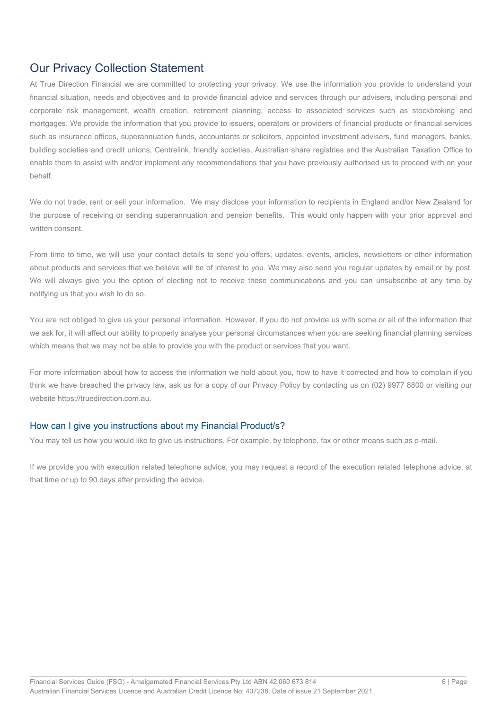# Our Privacy Collection Statement

At True Direction Financial we are committed to protecting your privacy. We use the information you provide to understand your financial situation, needs and objectives and to provide financial advice and services through our advisers, including personal and corporate risk management, wealth creation, retirement planning, access to associated services such as stockbroking and mortgages. We provide the information that you provide to issuers, operators or providers of financial products or financial services such as insurance offices, superannuation funds, accountants or solicitors, appointed investment advisers, fund managers, banks, building societies and credit unions, Centrelink, friendly societies, Australian share registries and the Australian Taxation Office to enable them to assist with and/or implement any recommendations that you have previously authorised us to proceed with on your behalf.

We do not trade, rent or sell your information. We may disclose your information to recipients in England and/or New Zealand for the purpose of receiving or sending superannuation and pension benefits. This would only happen with your prior approval and written consent.

From time to time, we will use your contact details to send you offers, updates, events, articles, newsletters or other information about products and services that we believe will be of interest to you. We may also send you regular updates by email or by post. We will always give you the option of electing not to receive these communications and you can unsubscribe at any time by notifying us that you wish to do so.

You are not obliged to give us your personal information. However, if you do not provide us with some or all of the information that we ask for, it will affect our ability to properly analyse your personal circumstances when you are seeking financial planning services which means that we may not be able to provide you with the product or services that you want.

For more information about how to access the information we hold about you, how to have it corrected and how to complain if you think we have breached the privacy law, ask us for a copy of our Privacy Policy by contacting us on (02) 9977 8800 or visiting our website https://truedirection.com.au.

### How can I give you instructions about my Financial Product/s?

You may tell us how you would like to give us instructions. For example, by telephone, fax or other means such as e-mail.

If we provide you with execution related telephone advice, you may request a record of the execution related telephone advice, at that time or up to 90 days after providing the advice.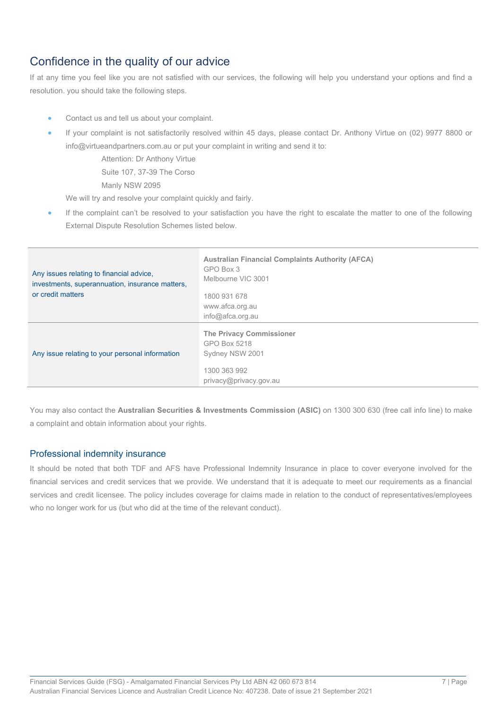# Confidence in the quality of our advice

If at any time you feel like you are not satisfied with our services, the following will help you understand your options and find a resolution. you should take the following steps.

- Contact us and tell us about your complaint.
- If your complaint is not satisfactorily resolved within 45 days, please contact Dr. Anthony Virtue on (02) 9977 8800 or info@virtueandpartners.com.au or put your complaint in writing and send it to:

Attention: Dr Anthony Virtue

Suite 107, 37-39 The Corso

Manly NSW 2095

We will try and resolve your complaint quickly and fairly.

If the complaint can't be resolved to your satisfaction you have the right to escalate the matter to one of the following External Dispute Resolution Schemes listed below.

| Any issues relating to financial advice,<br>investments, superannuation, insurance matters,<br>or credit matters | <b>Australian Financial Complaints Authority (AFCA)</b><br>GPO Box 3<br>Melbourne VIC 3001<br>1800 931 678<br>www.afca.org.au<br>$info@a$ fca.org.au |
|------------------------------------------------------------------------------------------------------------------|------------------------------------------------------------------------------------------------------------------------------------------------------|
| Any issue relating to your personal information                                                                  | <b>The Privacy Commissioner</b><br>GPO Box 5218<br>Sydney NSW 2001<br>1300 363 992<br>privacy@privacy.gov.au                                         |

You may also contact the **Australian Securities & Investments Commission (ASIC)** on 1300 300 630 (free call info line) to make a complaint and obtain information about your rights.

### Professional indemnity insurance

It should be noted that both TDF and AFS have Professional Indemnity Insurance in place to cover everyone involved for the financial services and credit services that we provide. We understand that it is adequate to meet our requirements as a financial services and credit licensee. The policy includes coverage for claims made in relation to the conduct of representatives/employees who no longer work for us (but who did at the time of the relevant conduct).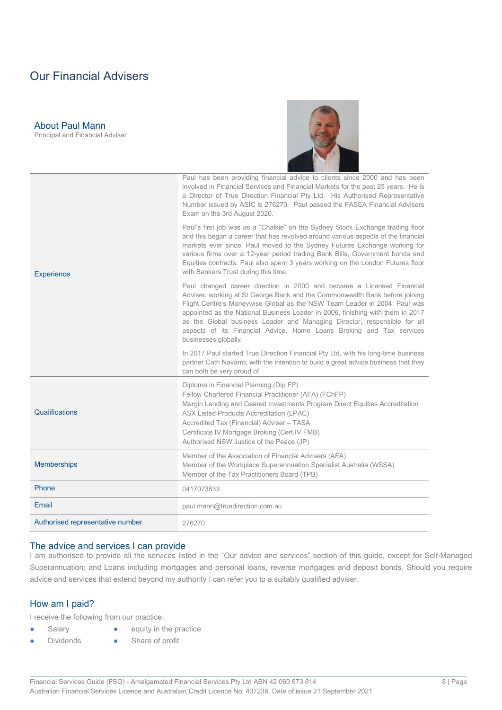# Our Financial Advisers

About Paul Mann Principal and Financial Adviser

| <b>Experience</b>                | Paul has been providing financial advice to clients since 2000 and has been<br>involved in Financial Services and Financial Markets for the past 25 years. He is<br>a Director of True Direction Financial Pty Ltd. His Authorised Representative<br>Number issued by ASIC is 276270. Paul passed the FASEA Financial Advisers<br>Exam on the 3rd August 2020.                                                                                                                                  |  |
|----------------------------------|-------------------------------------------------------------------------------------------------------------------------------------------------------------------------------------------------------------------------------------------------------------------------------------------------------------------------------------------------------------------------------------------------------------------------------------------------------------------------------------------------|--|
|                                  | Paul's first job was as a "Chalkie" on the Sydney Stock Exchange trading floor<br>and this began a career that has revolved around various aspects of the financial<br>markets ever since. Paul moved to the Sydney Futures Exchange working for<br>various firms over a 12-year period trading Bank Bills, Government bonds and<br>Equities contracts. Paul also spent 3 years working on the London Futures floor<br>with Bankers Trust during this time.                                     |  |
|                                  | Paul changed career direction in 2000 and became a Licensed Financial<br>Adviser, working at St George Bank and the Commonwealth Bank before joining<br>Flight Centre's Moneywise Global as the NSW Team Leader in 2004. Paul was<br>appointed as the National Business Leader in 2006, finishing with them in 2017<br>as the Global business Leader and Managing Director, responsible for all<br>aspects of its Financial Advice, Home Loans Broking and Tax services<br>businesses globally. |  |
|                                  | In 2017 Paul started True Direction Financial Pty Ltd, with his long-time business<br>partner Cath Navarro, with the intention to build a great advice business that they<br>can both be very proud of.                                                                                                                                                                                                                                                                                         |  |
| Qualifications                   | Diploma in Financial Planning (Dip FP)<br>Fellow Chartered Financial Practitioner (AFA) (FChFP)<br>Margin Lending and Geared Investments Program Direct Equities Accreditation<br><b>ASX Listed Products Accreditation (LPAC)</b><br>Accredited Tax (Financial) Adviser - TASA<br>Certificate IV Mortgage Broking (Cert.IV FMB)<br>Authorised NSW Justice of the Peace (JP)                                                                                                                     |  |
| <b>Memberships</b>               | Member of the Association of Financial Advisers (AFA)<br>Member of the Workplace Superannuation Specialist Australia (WSSA)<br>Member of the Tax Practitioners Board (TPB)                                                                                                                                                                                                                                                                                                                      |  |
| Phone                            | 0417073833                                                                                                                                                                                                                                                                                                                                                                                                                                                                                      |  |
| Email                            | paul.mann@truedirection.com.au                                                                                                                                                                                                                                                                                                                                                                                                                                                                  |  |
| Authorised representative number | 276270                                                                                                                                                                                                                                                                                                                                                                                                                                                                                          |  |

#### The advice and services I can provide

I am authorised to provide all the services listed in the "Our advice and services" section of this guide, except for Self-Managed Superannuation; and Loans including mortgages and personal loans, reverse mortgages and deposit bonds. Should you require advice and services that extend beyond my authority I can refer you to a suitably qualified adviser.

#### How am I paid?

I receive the following from our practice:

- 
- Salary **•** equity in the practice
	- Dividends Share of profit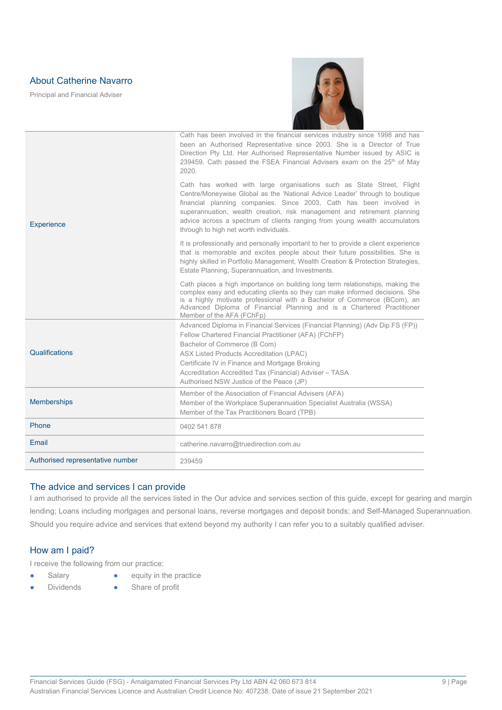## About Catherine Navarro

Principal and Financial Adviser



| <b>Experience</b>                | Cath has been involved in the financial services industry since 1998 and has<br>been an Authorised Representative since 2003. She is a Director of True<br>Direction Pty Ltd. Her Authorised Representative Number issued by ASIC is<br>239459. Cath passed the FSEA Financial Advisers exam on the 25 <sup>th</sup> of May<br>2020.<br>Cath has worked with large organisations such as State Street, Flight<br>Centre/Moneywise Global as the 'National Advice Leader' through to boutique<br>financial planning companies. Since 2003, Cath has been involved in<br>superannuation, wealth creation, risk management and retirement planning<br>advice across a spectrum of clients ranging from young wealth accumulators<br>through to high net worth individuals. |  |
|----------------------------------|-------------------------------------------------------------------------------------------------------------------------------------------------------------------------------------------------------------------------------------------------------------------------------------------------------------------------------------------------------------------------------------------------------------------------------------------------------------------------------------------------------------------------------------------------------------------------------------------------------------------------------------------------------------------------------------------------------------------------------------------------------------------------|--|
|                                  | It is professionally and personally important to her to provide a client experience<br>that is memorable and excites people about their future possibilities. She is<br>highly skilled in Portfolio Management, Wealth Creation & Protection Strategies,<br>Estate Planning, Superannuation, and Investments.                                                                                                                                                                                                                                                                                                                                                                                                                                                           |  |
|                                  | Cath places a high importance on building long term relationships, making the<br>complex easy and educating clients so they can make informed decisions. She<br>is a highly motivate professional with a Bachelor of Commerce (BCom), an<br>Advanced Diploma of Financial Planning and is a Chartered Practitioner<br>Member of the AFA (FChFp)                                                                                                                                                                                                                                                                                                                                                                                                                         |  |
| Qualifications                   | Advanced Diploma in Financial Services (Financial Planning) (Adv Dip FS (FP))<br>Fellow Chartered Financial Practitioner (AFA) (FChFP)<br>Bachelor of Commerce (B Com)<br><b>ASX Listed Products Accreditation (LPAC)</b><br>Certificate IV in Finance and Mortgage Broking<br>Accreditation Accredited Tax (Financial) Adviser - TASA<br>Authorised NSW Justice of the Peace (JP)                                                                                                                                                                                                                                                                                                                                                                                      |  |
| <b>Memberships</b>               | Member of the Association of Financial Advisers (AFA)<br>Member of the Workplace Superannuation Specialist Australia (WSSA)<br>Member of the Tax Practitioners Board (TPB)                                                                                                                                                                                                                                                                                                                                                                                                                                                                                                                                                                                              |  |
| Phone                            | 0402 541 878                                                                                                                                                                                                                                                                                                                                                                                                                                                                                                                                                                                                                                                                                                                                                            |  |
| Email                            | catherine.navarro@truedirection.com.au                                                                                                                                                                                                                                                                                                                                                                                                                                                                                                                                                                                                                                                                                                                                  |  |
| Authorised representative number | 239459                                                                                                                                                                                                                                                                                                                                                                                                                                                                                                                                                                                                                                                                                                                                                                  |  |

#### The advice and services I can provide

I am authorised to provide all the services listed in the Our advice and services section of this guide, except for gearing and margin lending; Loans including mortgages and personal loans, reverse mortgages and deposit bonds; and Self-Managed Superannuation. Should you require advice and services that extend beyond my authority I can refer you to a suitably qualified adviser.

### How am I paid?

I receive the following from our practice:

- 
- Salary **•** equity in the practice
	- Dividends Share of profit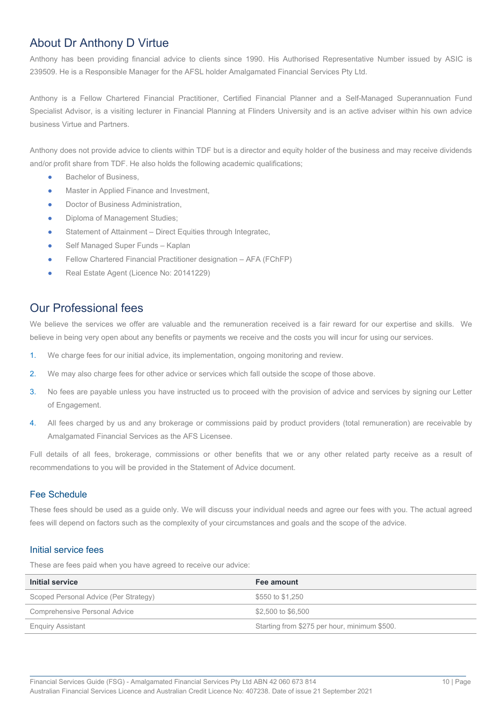# About Dr Anthony D Virtue

Anthony has been providing financial advice to clients since 1990. His Authorised Representative Number issued by ASIC is 239509. He is a Responsible Manager for the AFSL holder Amalgamated Financial Services Pty Ltd.

Anthony is a Fellow Chartered Financial Practitioner, Certified Financial Planner and a Self-Managed Superannuation Fund Specialist Advisor, is a visiting lecturer in Financial Planning at Flinders University and is an active adviser within his own advice business Virtue and Partners.

Anthony does not provide advice to clients within TDF but is a director and equity holder of the business and may receive dividends and/or profit share from TDF. He also holds the following academic qualifications;

- Bachelor of Business,
- Master in Applied Finance and Investment,
- Doctor of Business Administration.
- Diploma of Management Studies;
- Statement of Attainment Direct Equities through Integratec,
- Self Managed Super Funds Kaplan
- Fellow Chartered Financial Practitioner designation AFA (FChFP)
- Real Estate Agent (Licence No: 20141229)

# Our Professional fees

We believe the services we offer are valuable and the remuneration received is a fair reward for our expertise and skills. We believe in being very open about any benefits or payments we receive and the costs you will incur for using our services.

- 1. We charge fees for our initial advice, its implementation, ongoing monitoring and review.
- 2. We may also charge fees for other advice or services which fall outside the scope of those above.
- 3. No fees are payable unless you have instructed us to proceed with the provision of advice and services by signing our Letter of Engagement.
- 4. All fees charged by us and any brokerage or commissions paid by product providers (total remuneration) are receivable by Amalgamated Financial Services as the AFS Licensee.

Full details of all fees, brokerage, commissions or other benefits that we or any other related party receive as a result of recommendations to you will be provided in the Statement of Advice document.

#### Fee Schedule

These fees should be used as a guide only. We will discuss your individual needs and agree our fees with you. The actual agreed fees will depend on factors such as the complexity of your circumstances and goals and the scope of the advice.

#### Initial service fees

These are fees paid when you have agreed to receive our advice:

| Initial service                       | Fee amount                                   |
|---------------------------------------|----------------------------------------------|
| Scoped Personal Advice (Per Strategy) | \$550 to \$1,250                             |
| Comprehensive Personal Advice         | \$2,500 to \$6,500                           |
| <b>Enquiry Assistant</b>              | Starting from \$275 per hour, minimum \$500. |